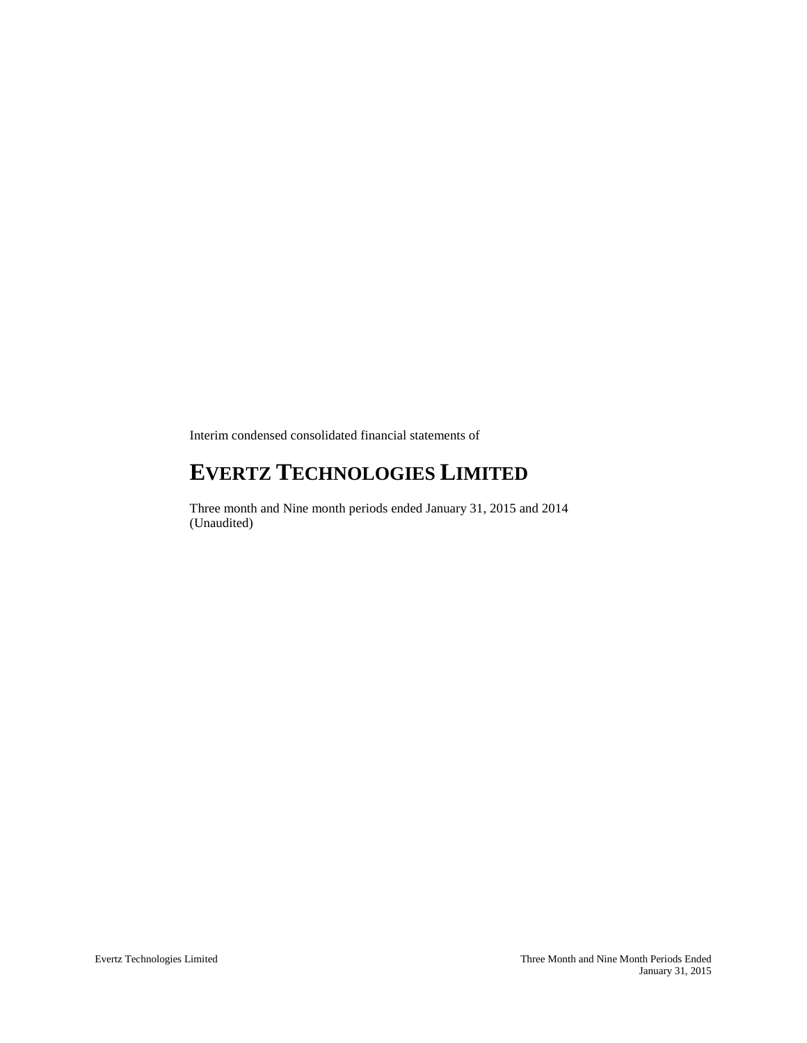Interim condensed consolidated financial statements of

# **EVERTZ TECHNOLOGIES LIMITED**

Three month and Nine month periods ended January 31, 2015 and 2014 (Unaudited)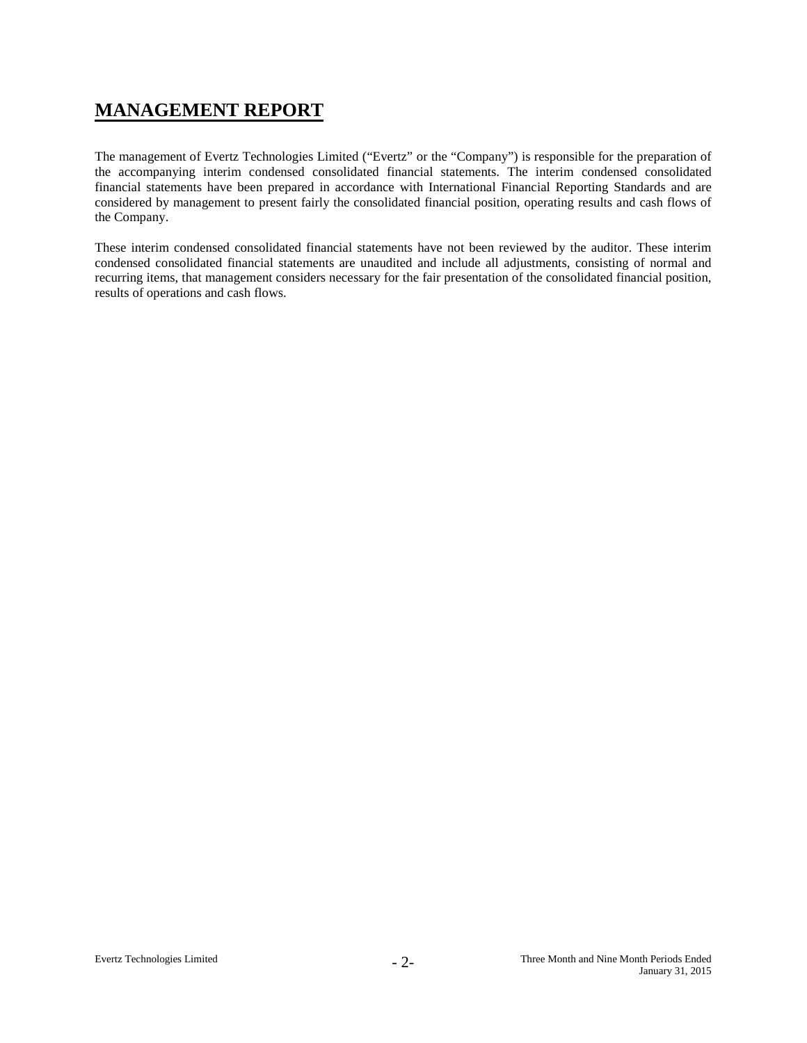# **MANAGEMENT REPORT**

The management of Evertz Technologies Limited ("Evertz" or the "Company") is responsible for the preparation of the accompanying interim condensed consolidated financial statements. The interim condensed consolidated financial statements have been prepared in accordance with International Financial Reporting Standards and are considered by management to present fairly the consolidated financial position, operating results and cash flows of the Company.

These interim condensed consolidated financial statements have not been reviewed by the auditor. These interim condensed consolidated financial statements are unaudited and include all adjustments, consisting of normal and recurring items, that management considers necessary for the fair presentation of the consolidated financial position, results of operations and cash flows.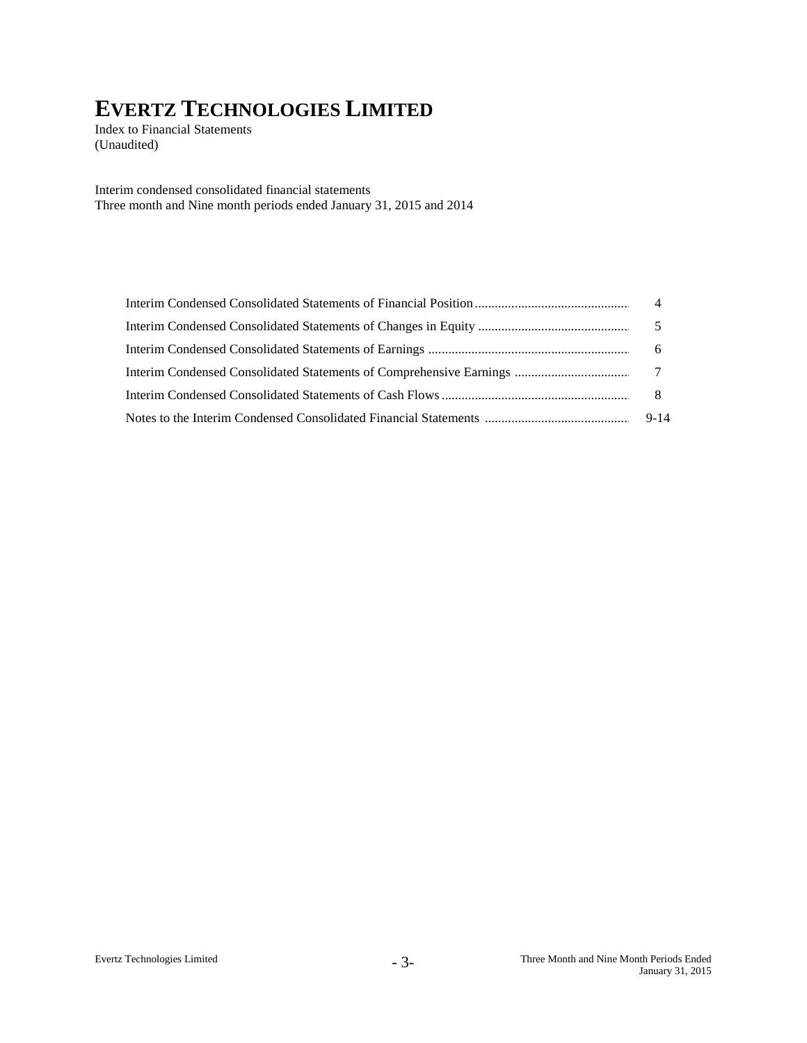Index to Financial Statements (Unaudited)

Interim condensed consolidated financial statements Three month and Nine month periods ended January 31, 2015 and 2014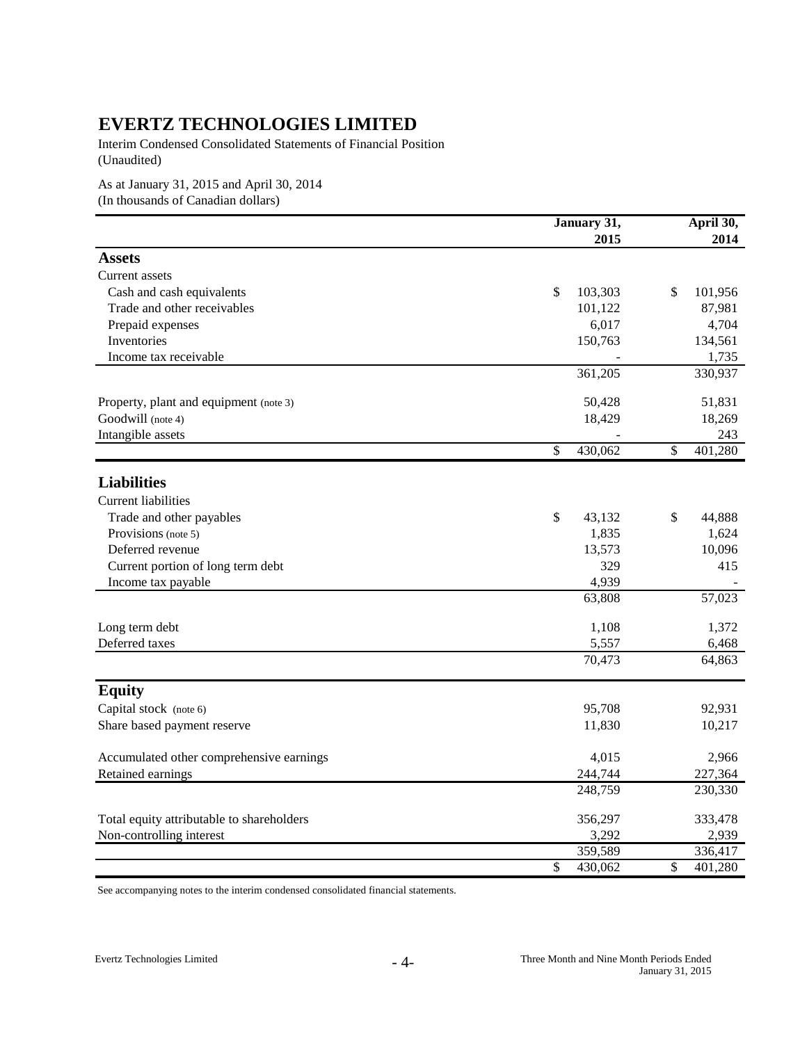Interim Condensed Consolidated Statements of Financial Position (Unaudited)

As at January 31, 2015 and April 30, 2014 (In thousands of Canadian dollars)

|                                                               | January 31,             | April 30,     |
|---------------------------------------------------------------|-------------------------|---------------|
|                                                               | 2015                    | 2014          |
| <b>Assets</b>                                                 |                         |               |
| Current assets                                                |                         |               |
| Cash and cash equivalents                                     | 103,303<br>\$           | \$<br>101,956 |
| Trade and other receivables                                   | 101,122                 | 87,981        |
| Prepaid expenses                                              | 6,017                   | 4,704         |
| Inventories                                                   | 150,763                 | 134,561       |
| Income tax receivable                                         |                         | 1,735         |
|                                                               | 361,205                 | 330,937       |
|                                                               |                         |               |
| Property, plant and equipment (note 3)                        | 50,428                  | 51,831        |
| Goodwill (note 4)                                             | 18,429                  | 18,269        |
| Intangible assets                                             |                         | 243           |
|                                                               | $\mathbb{S}$<br>430,062 | \$<br>401,280 |
| <b>Liabilities</b>                                            |                         |               |
|                                                               |                         |               |
| <b>Current liabilities</b>                                    |                         |               |
| Trade and other payables                                      | \$<br>43,132            | \$<br>44,888  |
| Provisions (note 5)                                           | 1,835                   | 1,624         |
| Deferred revenue                                              | 13,573                  | 10,096        |
| Current portion of long term debt                             | 329                     | 415           |
| Income tax payable                                            | 4,939                   |               |
|                                                               | 63,808                  | 57,023        |
| Long term debt                                                | 1,108                   | 1,372         |
| Deferred taxes                                                | 5,557                   | 6,468         |
|                                                               | 70,473                  | 64,863        |
| <b>Equity</b>                                                 |                         |               |
| Capital stock (note 6)                                        | 95,708                  | 92,931        |
| Share based payment reserve                                   | 11,830                  | 10,217        |
|                                                               | 4,015                   | 2,966         |
| Accumulated other comprehensive earnings<br>Retained earnings | 244,744                 | 227,364       |
|                                                               | 248,759                 | 230,330       |
|                                                               |                         |               |
| Total equity attributable to shareholders                     | 356,297                 | 333,478       |
| Non-controlling interest                                      | 3,292                   | 2,939         |
|                                                               | 359,589                 | 336,417       |
|                                                               | \$<br>430,062           | \$<br>401,280 |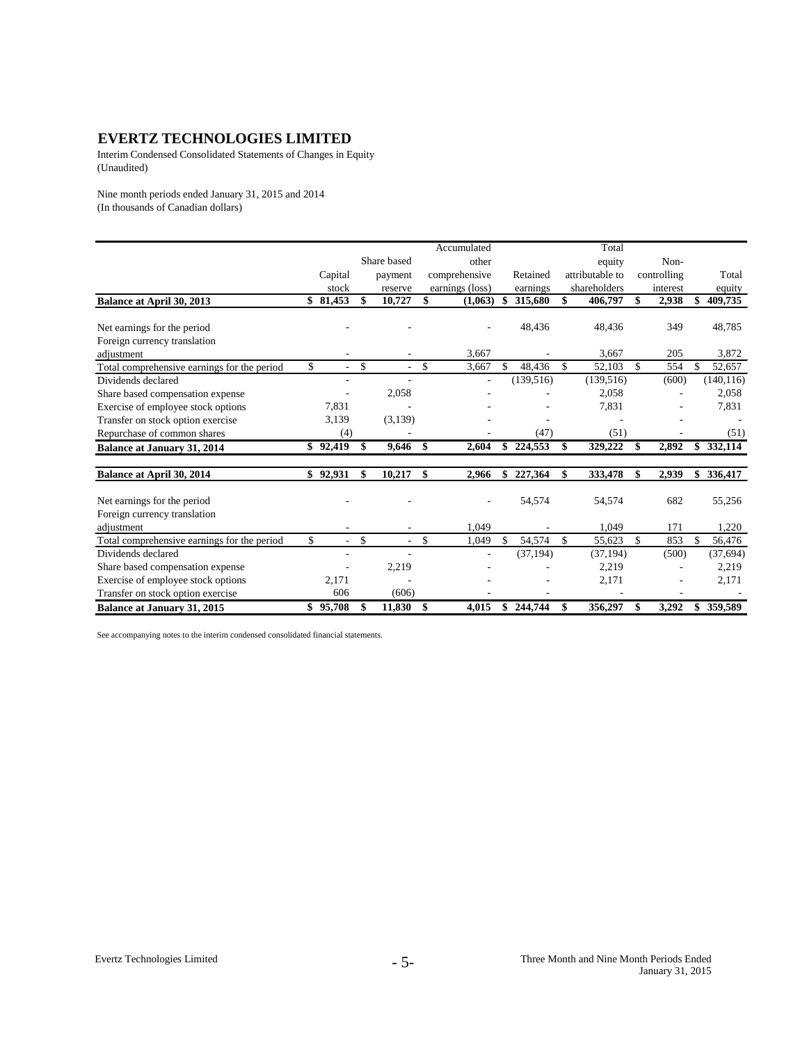Interim Condensed Consolidated Statements of Changes in Equity (Unaudited)

Nine month periods ended January 31, 2015 and 2014 (In thousands of Canadian dollars)

|                                             |              |               |                          |               | Accumulated              |    |            |               | Total           |             |               |
|---------------------------------------------|--------------|---------------|--------------------------|---------------|--------------------------|----|------------|---------------|-----------------|-------------|---------------|
|                                             |              |               | Share based              |               | other                    |    |            |               | equity          | Non-        |               |
|                                             | Capital      |               | payment                  |               | comprehensive            |    | Retained   |               | attributable to | controlling | Total         |
|                                             | stock        |               | reserve                  |               | earnings (loss)          |    | earnings   |               | shareholders    | interest    | equity        |
| Balance at April 30, 2013                   | \$81,453     | \$            | 10,727                   | \$            | (1,063)                  | S  | 315,680    | \$            | 406,797         | \$<br>2,938 | \$<br>409,735 |
| Net earnings for the period                 |              |               |                          |               |                          |    | 48,436     |               | 48,436          | 349         | 48,785        |
| Foreign currency translation                |              |               |                          |               |                          |    |            |               |                 |             |               |
| adjustment                                  |              |               |                          |               | 3,667                    |    |            |               | 3,667           | 205         | 3,872         |
| Total comprehensive earnings for the period | \$           | \$            | $\overline{\phantom{a}}$ | \$            | 3,667                    | \$ | 48,436     | $\mathbf{s}$  | 52,103          | \$<br>554   | \$<br>52,657  |
| Dividends declared                          |              |               | ÷,                       |               | $\overline{\phantom{a}}$ |    | (139, 516) |               | (139, 516)      | (600)       | (140, 116)    |
| Share based compensation expense            |              |               | 2,058                    |               |                          |    |            |               | 2,058           |             | 2,058         |
|                                             | 7,831        |               |                          |               |                          |    |            |               | 7,831           |             | 7,831         |
| Exercise of employee stock options          |              |               |                          |               |                          |    |            |               |                 |             |               |
| Transfer on stock option exercise           | 3,139        |               | (3,139)                  |               |                          |    | (47)       |               | (51)            |             |               |
| Repurchase of common shares                 | (4)          |               |                          |               |                          |    |            |               |                 |             | (51)          |
| <b>Balance at January 31, 2014</b>          | \$92,419     | \$            | 9,646                    | \$            | 2,604                    |    | \$224,553  | \$            | 329,222         | \$<br>2,892 | \$332,114     |
| Balance at April 30, 2014                   | \$92,931     | \$            | 10,217                   | \$            | 2,966                    | \$ | 227,364    | \$            | 333,478         | \$<br>2,939 | \$<br>336,417 |
| Net earnings for the period                 |              |               |                          |               |                          |    | 54,574     |               | 54,574          | 682         | 55,256        |
| Foreign currency translation                |              |               |                          |               |                          |    |            |               |                 |             |               |
| adjustment                                  |              |               |                          |               | 1,049                    |    |            |               | 1.049           | 171         | 1,220         |
| Total comprehensive earnings for the period | \$<br>$\sim$ | $\mathcal{S}$ | $\sim$                   | $\mathcal{S}$ | 1,049                    | \$ | 54,574     | $\mathcal{S}$ | 55,623          | \$<br>853   | \$<br>56,476  |
| Dividends declared                          |              |               |                          |               |                          |    | (37, 194)  |               | (37, 194)       | (500)       | (37, 694)     |
| Share based compensation expense            |              |               | 2,219                    |               |                          |    |            |               | 2,219           |             | 2,219         |
| Exercise of employee stock options          | 2,171        |               |                          |               |                          |    |            |               | 2,171           |             | 2,171         |
| Transfer on stock option exercise           | 606          |               | (606)                    |               |                          |    |            |               |                 |             |               |
| <b>Balance at January 31, 2015</b>          | \$95,708     |               | 11,830                   | \$            | 4,015                    | \$ | 244,744    |               | 356,297         | \$<br>3,292 | \$<br>359,589 |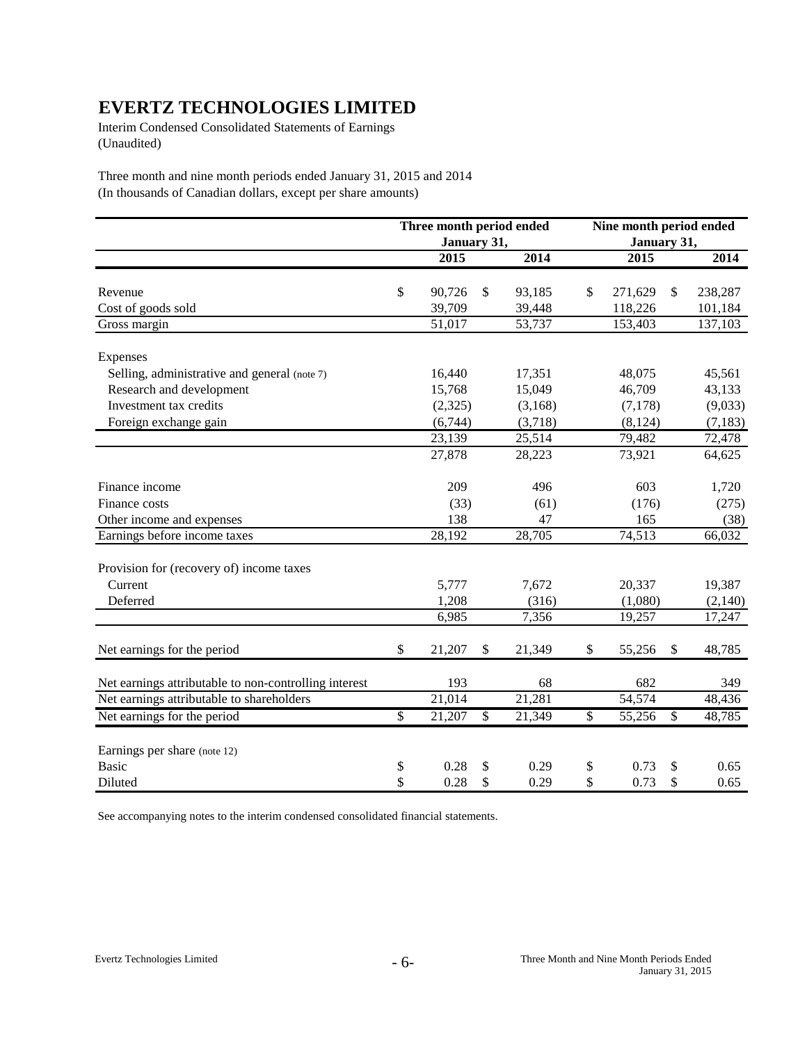Interim Condensed Consolidated Statements of Earnings (Unaudited)

Three month and nine month periods ended January 31, 2015 and 2014 (In thousands of Canadian dollars, except per share amounts)

|                                                       |              | Three month period ended |              |         | Nine month period ended  |             |               |          |  |
|-------------------------------------------------------|--------------|--------------------------|--------------|---------|--------------------------|-------------|---------------|----------|--|
|                                                       |              | January 31,              |              |         |                          | January 31, |               |          |  |
|                                                       |              | 2015                     |              | 2014    |                          | 2015        |               | 2014     |  |
| Revenue                                               | $\$\,$       | 90,726                   | \$           | 93,185  | \$                       | 271,629     | \$            | 238,287  |  |
| Cost of goods sold                                    |              | 39,709                   |              | 39,448  |                          | 118,226     |               | 101,184  |  |
| Gross margin                                          |              | 51,017                   |              | 53,737  |                          | 153,403     |               | 137,103  |  |
| Expenses                                              |              |                          |              |         |                          |             |               |          |  |
| Selling, administrative and general (note 7)          |              | 16,440                   |              | 17,351  |                          | 48,075      |               | 45,561   |  |
| Research and development                              |              | 15,768                   |              | 15,049  |                          | 46,709      |               | 43,133   |  |
| Investment tax credits                                |              | (2,325)                  |              | (3,168) |                          | (7,178)     |               | (9,033)  |  |
| Foreign exchange gain                                 |              | (6,744)                  |              | (3,718) |                          | (8, 124)    |               | (7, 183) |  |
|                                                       |              | 23,139                   |              | 25,514  |                          | 79,482      |               | 72,478   |  |
|                                                       |              | 27,878                   |              | 28,223  |                          | 73,921      |               | 64,625   |  |
| Finance income                                        |              | 209                      |              | 496     |                          | 603         |               | 1,720    |  |
| Finance costs                                         |              | (33)                     |              | (61)    |                          | (176)       |               | (275)    |  |
| Other income and expenses                             |              | 138                      |              | 47      |                          | 165         |               | (38)     |  |
| Earnings before income taxes                          |              | 28,192                   |              | 28,705  |                          | 74,513      |               | 66,032   |  |
| Provision for (recovery of) income taxes              |              |                          |              |         |                          |             |               |          |  |
| Current                                               |              | 5,777                    |              | 7,672   |                          | 20,337      |               | 19,387   |  |
| Deferred                                              |              | 1,208                    |              | (316)   |                          | (1,080)     |               | (2,140)  |  |
|                                                       |              | 6,985                    |              | 7,356   |                          | 19,257      |               | 17,247   |  |
| Net earnings for the period                           | $\mathbb{S}$ | 21,207                   | $\mathbb{S}$ | 21,349  | \$                       | 55,256      | $\mathcal{S}$ | 48,785   |  |
| Net earnings attributable to non-controlling interest |              | 193                      |              | 68      |                          | 682         |               | 349      |  |
| Net earnings attributable to shareholders             |              | 21,014                   |              | 21,281  |                          | 54,574      |               | 48,436   |  |
| Net earnings for the period                           | $\mathbb{S}$ | 21,207                   | $\mathbb{S}$ | 21,349  | $\overline{\mathcal{S}}$ | 55,256      | \$            | 48,785   |  |
| Earnings per share (note 12)                          |              |                          |              |         |                          |             |               |          |  |
| <b>Basic</b>                                          | \$           | 0.28                     | \$           | 0.29    | \$                       | 0.73        | \$            | 0.65     |  |
| Diluted                                               | \$           | 0.28                     | \$           | 0.29    | \$                       | 0.73        | \$            | 0.65     |  |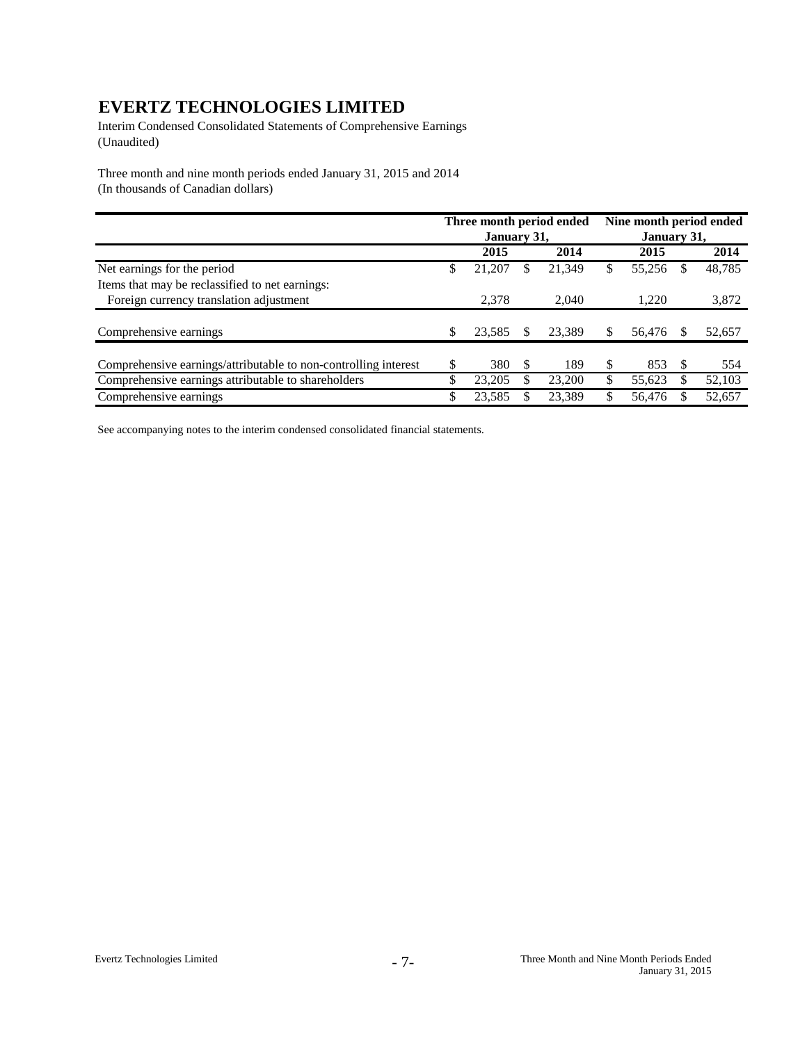Interim Condensed Consolidated Statements of Comprehensive Earnings (Unaudited)

Three month and nine month periods ended January 31, 2015 and 2014 (In thousands of Canadian dollars)

|                                                                 | Three month period ended |             |    |        | Nine month period ended |             |    |        |  |
|-----------------------------------------------------------------|--------------------------|-------------|----|--------|-------------------------|-------------|----|--------|--|
|                                                                 |                          | January 31, |    |        |                         | January 31, |    |        |  |
|                                                                 |                          | 2015        |    | 2014   |                         | 2015        |    | 2014   |  |
| Net earnings for the period                                     | \$                       | 21,207      |    | 21,349 | \$                      | 55,256      |    | 48,785 |  |
| Items that may be reclassified to net earnings:                 |                          |             |    |        |                         |             |    |        |  |
| Foreign currency translation adjustment                         |                          | 2.378       |    | 2.040  |                         | 1.220       |    | 3,872  |  |
|                                                                 |                          |             |    |        |                         |             |    |        |  |
| Comprehensive earnings                                          | S                        | 23,585      |    | 23,389 |                         | 56,476      |    | 52,657 |  |
|                                                                 |                          |             |    |        |                         |             |    |        |  |
| Comprehensive earnings/attributable to non-controlling interest |                          | 380         | -S | 189    |                         | 853         | £. | 554    |  |
| Comprehensive earnings attributable to shareholders             | \$                       | 23,205      |    | 23,200 |                         | 55,623      |    | 52,103 |  |
| Comprehensive earnings                                          |                          | 23,585      |    | 23,389 |                         | 56,476      |    | 52,657 |  |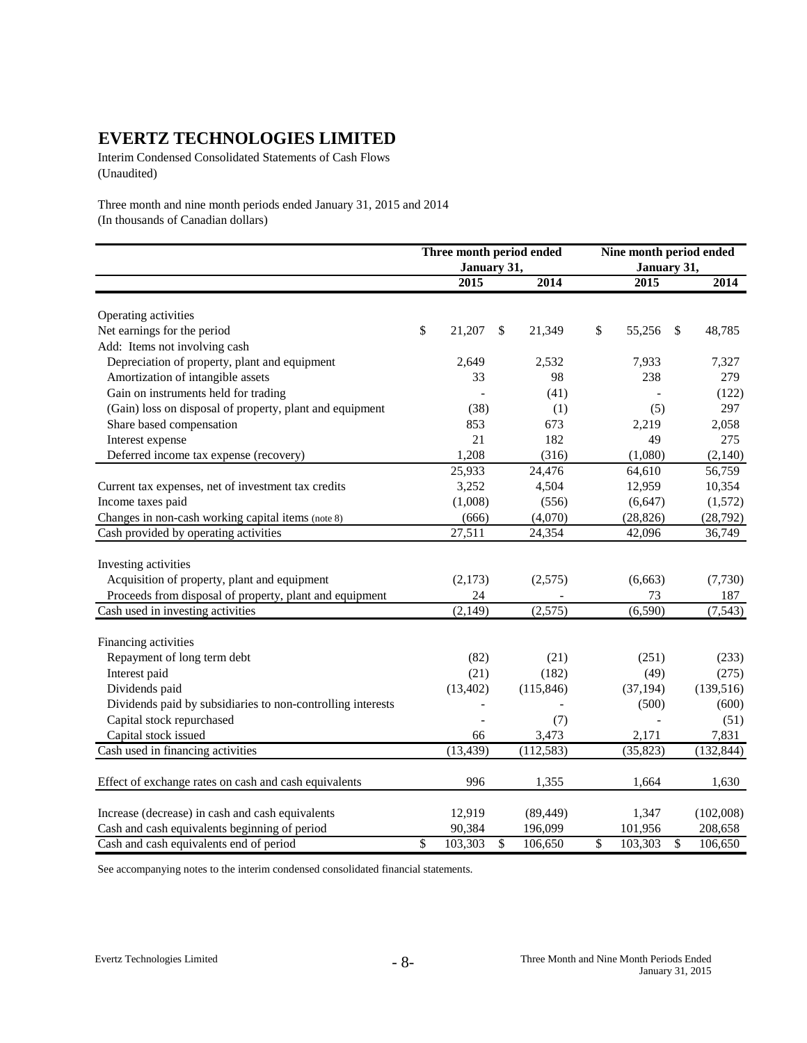Interim Condensed Consolidated Statements of Cash Flows (Unaudited)

Three month and nine month periods ended January 31, 2015 and 2014 (In thousands of Canadian dollars)

|                                                             | Three month period ended |    | Nine month period ended |              |             |               |            |
|-------------------------------------------------------------|--------------------------|----|-------------------------|--------------|-------------|---------------|------------|
|                                                             | January 31,              |    |                         |              | January 31, |               |            |
|                                                             | 2015                     |    | 2014                    |              | 2015        |               | 2014       |
| Operating activities                                        |                          |    |                         |              |             |               |            |
| Net earnings for the period                                 | \$<br>21,207             | \$ | 21,349                  | $\mathbb{S}$ | 55,256      | $\mathcal{S}$ | 48,785     |
| Add: Items not involving cash                               |                          |    |                         |              |             |               |            |
| Depreciation of property, plant and equipment               | 2,649                    |    | 2,532                   |              | 7,933       |               | 7,327      |
| Amortization of intangible assets                           | 33                       |    | 98                      |              | 238         |               | 279        |
| Gain on instruments held for trading                        |                          |    | (41)                    |              |             |               | (122)      |
| (Gain) loss on disposal of property, plant and equipment    | (38)                     |    | (1)                     |              | (5)         |               | 297        |
| Share based compensation                                    | 853                      |    | 673                     |              | 2,219       |               | 2,058      |
| Interest expense                                            | 21                       |    | 182                     |              | 49          |               | 275        |
| Deferred income tax expense (recovery)                      | 1,208                    |    | (316)                   |              | (1,080)     |               | (2,140)    |
|                                                             | 25,933                   |    | 24,476                  |              | 64,610      |               | 56,759     |
| Current tax expenses, net of investment tax credits         | 3,252                    |    | 4,504                   |              | 12,959      |               | 10,354     |
| Income taxes paid                                           | (1,008)                  |    | (556)                   |              | (6, 647)    |               | (1,572)    |
| Changes in non-cash working capital items (note 8)          | (666)                    |    | (4,070)                 |              | (28, 826)   |               | (28, 792)  |
| Cash provided by operating activities                       | 27,511                   |    | 24,354                  |              | 42,096      |               | 36,749     |
|                                                             |                          |    |                         |              |             |               |            |
| Investing activities                                        |                          |    |                         |              |             |               |            |
| Acquisition of property, plant and equipment                | (2,173)                  |    | (2,575)                 |              | (6,663)     |               | (7,730)    |
| Proceeds from disposal of property, plant and equipment     | 24                       |    |                         |              | 73          |               | 187        |
| Cash used in investing activities                           | (2, 149)                 |    | (2,575)                 |              | (6,590)     |               | (7,543)    |
| Financing activities                                        |                          |    |                         |              |             |               |            |
| Repayment of long term debt                                 | (82)                     |    | (21)                    |              | (251)       |               | (233)      |
| Interest paid                                               | (21)                     |    | (182)                   |              | (49)        |               | (275)      |
| Dividends paid                                              | (13, 402)                |    | (115, 846)              |              | (37, 194)   |               | (139, 516) |
| Dividends paid by subsidiaries to non-controlling interests |                          |    |                         |              | (500)       |               | (600)      |
| Capital stock repurchased                                   |                          |    | (7)                     |              |             |               | (51)       |
| Capital stock issued                                        | 66                       |    | 3,473                   |              | 2,171       |               | 7,831      |
| Cash used in financing activities                           | (13, 439)                |    | (112, 583)              |              | (35, 823)   |               | (132, 844) |
| Effect of exchange rates on cash and cash equivalents       | 996                      |    | 1,355                   |              | 1,664       |               | 1,630      |
|                                                             |                          |    |                         |              |             |               |            |
| Increase (decrease) in cash and cash equivalents            | 12,919                   |    | (89, 449)               |              | 1,347       |               | (102,008)  |
| Cash and cash equivalents beginning of period               | 90,384                   |    | 196,099                 |              | 101,956     |               | 208,658    |
| Cash and cash equivalents end of period                     | \$<br>103,303            | \$ | 106,650                 | \$           | 103,303     | \$            | 106,650    |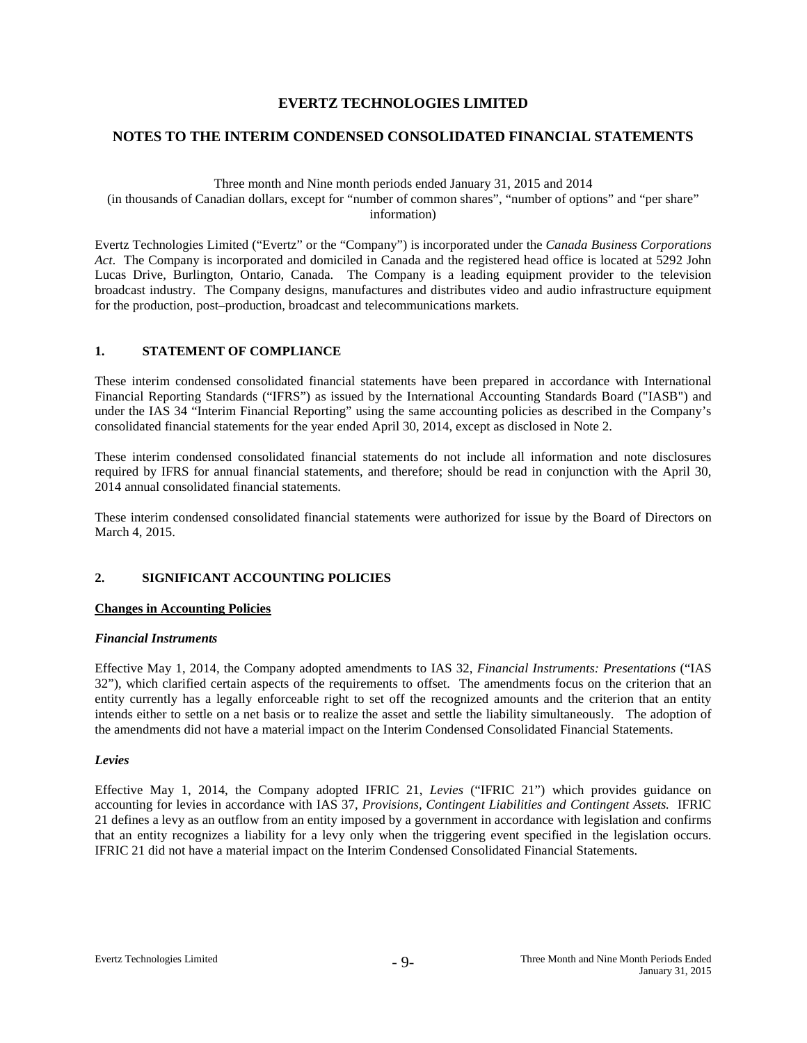### **NOTES TO THE INTERIM CONDENSED CONSOLIDATED FINANCIAL STATEMENTS**

Three month and Nine month periods ended January 31, 2015 and 2014 (in thousands of Canadian dollars, except for "number of common shares", "number of options" and "per share" information)

Evertz Technologies Limited ("Evertz" or the "Company") is incorporated under the *Canada Business Corporations Act*. The Company is incorporated and domiciled in Canada and the registered head office is located at 5292 John Lucas Drive, Burlington, Ontario, Canada. The Company is a leading equipment provider to the television broadcast industry. The Company designs, manufactures and distributes video and audio infrastructure equipment for the production, post–production, broadcast and telecommunications markets.

#### **1. STATEMENT OF COMPLIANCE**

These interim condensed consolidated financial statements have been prepared in accordance with International Financial Reporting Standards ("IFRS") as issued by the International Accounting Standards Board ("IASB") and under the IAS 34 "Interim Financial Reporting" using the same accounting policies as described in the Company's consolidated financial statements for the year ended April 30, 2014, except as disclosed in Note 2.

These interim condensed consolidated financial statements do not include all information and note disclosures required by IFRS for annual financial statements, and therefore; should be read in conjunction with the April 30, 2014 annual consolidated financial statements.

These interim condensed consolidated financial statements were authorized for issue by the Board of Directors on March 4, 2015.

# **2. SIGNIFICANT ACCOUNTING POLICIES**

#### **Changes in Accounting Policies**

#### *Financial Instruments*

Effective May 1, 2014, the Company adopted amendments to IAS 32, *Financial Instruments: Presentations* ("IAS 32"), which clarified certain aspects of the requirements to offset. The amendments focus on the criterion that an entity currently has a legally enforceable right to set off the recognized amounts and the criterion that an entity intends either to settle on a net basis or to realize the asset and settle the liability simultaneously. The adoption of the amendments did not have a material impact on the Interim Condensed Consolidated Financial Statements.

#### *Levies*

Effective May 1, 2014, the Company adopted IFRIC 21, *Levies* ("IFRIC 21") which provides guidance on accounting for levies in accordance with IAS 37, *Provisions, Contingent Liabilities and Contingent Assets.* IFRIC 21 defines a levy as an outflow from an entity imposed by a government in accordance with legislation and confirms that an entity recognizes a liability for a levy only when the triggering event specified in the legislation occurs. IFRIC 21 did not have a material impact on the Interim Condensed Consolidated Financial Statements.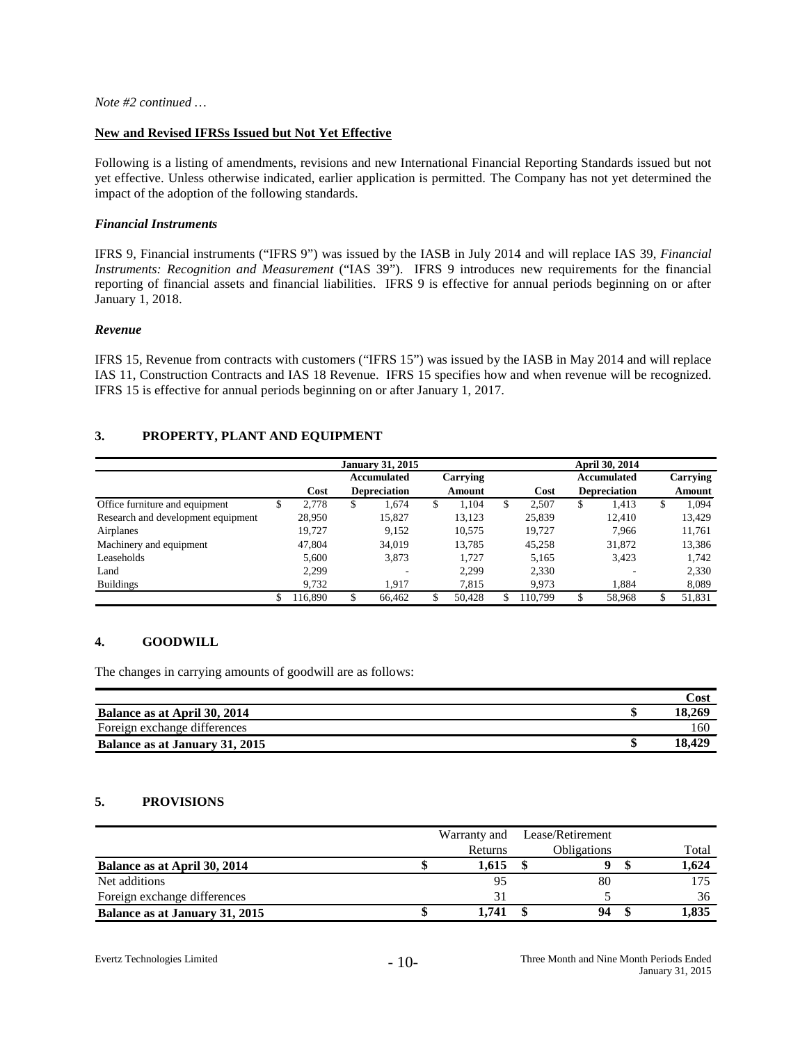#### **New and Revised IFRSs Issued but Not Yet Effective**

Following is a listing of amendments, revisions and new International Financial Reporting Standards issued but not yet effective. Unless otherwise indicated, earlier application is permitted. The Company has not yet determined the impact of the adoption of the following standards.

#### *Financial Instruments*

IFRS 9, Financial instruments ("IFRS 9") was issued by the IASB in July 2014 and will replace IAS 39, *Financial Instruments: Recognition and Measurement* ("IAS 39"). IFRS 9 introduces new requirements for the financial reporting of financial assets and financial liabilities. IFRS 9 is effective for annual periods beginning on or after January 1, 2018.

#### *Revenue*

IFRS 15, Revenue from contracts with customers ("IFRS 15") was issued by the IASB in May 2014 and will replace IAS 11, Construction Contracts and IAS 18 Revenue. IFRS 15 specifies how and when revenue will be recognized. IFRS 15 is effective for annual periods beginning on or after January 1, 2017.

# **3. PROPERTY, PLANT AND EQUIPMENT**

|                                    |   |         |   | <b>January 31, 2015</b> |   |               | April 30, 2014 |         |    |                     |    |          |
|------------------------------------|---|---------|---|-------------------------|---|---------------|----------------|---------|----|---------------------|----|----------|
|                                    |   |         |   | Accumulated             |   | Carrying      |                |         |    | Accumulated         |    | Carrying |
|                                    |   | Cost    |   | <b>Depreciation</b>     |   | <b>Amount</b> |                | Cost    |    | <b>Depreciation</b> |    | Amount   |
| Office furniture and equipment     | D | 2,778   | S | 1.674                   | S | 1.104         | S              | 2,507   | \$ | 1,413               | \$ | 1,094    |
| Research and development equipment |   | 28,950  |   | 15,827                  |   | 13,123        |                | 25,839  |    | 12.410              |    | 13,429   |
| Airplanes                          |   | 19.727  |   | 9.152                   |   | 10,575        |                | 19.727  |    | 7.966               |    | 11,761   |
| Machinery and equipment            |   | 47,804  |   | 34.019                  |   | 13,785        |                | 45,258  |    | 31,872              |    | 13,386   |
| Leaseholds                         |   | 5.600   |   | 3,873                   |   | 1.727         |                | 5,165   |    | 3,423               |    | 1,742    |
| Land                               |   | 2.299   |   |                         |   | 2,299         |                | 2,330   |    |                     |    | 2,330    |
| <b>Buildings</b>                   |   | 9.732   |   | 1.917                   |   | 7.815         |                | 9.973   |    | 1.884               |    | 8,089    |
|                                    |   | 116.890 |   | 66,462                  |   | 50,428        |                | 110.799 |    | 58,968              |    | 51,831   |

# **4. GOODWILL**

The changes in carrying amounts of goodwill are as follows:

|                                | Cost   |
|--------------------------------|--------|
| Balance as at April 30, 2014   | 18.269 |
| Foreign exchange differences   | 160    |
| Balance as at January 31, 2015 | 18.429 |

# **5. PROVISIONS**

|                                | Warranty and | Lease/Retirement   |       |
|--------------------------------|--------------|--------------------|-------|
|                                | Returns      | <b>Obligations</b> | Total |
| Balance as at April 30, 2014   | 1,615        |                    | 1,624 |
| Net additions                  | 95           | 80                 |       |
| Foreign exchange differences   | 31           |                    | 36    |
| Balance as at January 31, 2015 | 1.741        |                    | 1,835 |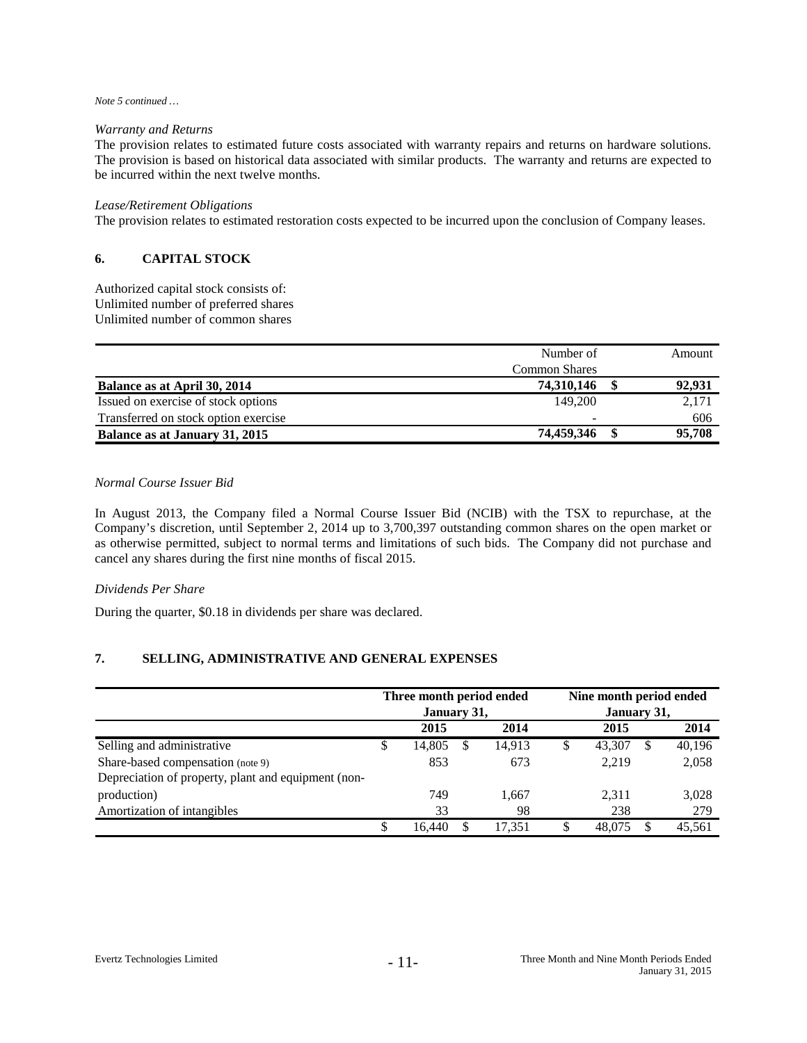#### *Note 5 continued …*

#### *Warranty and Returns*

The provision relates to estimated future costs associated with warranty repairs and returns on hardware solutions. The provision is based on historical data associated with similar products. The warranty and returns are expected to be incurred within the next twelve months.

#### *Lease/Retirement Obligations*

The provision relates to estimated restoration costs expected to be incurred upon the conclusion of Company leases.

# **6. CAPITAL STOCK**

Authorized capital stock consists of: Unlimited number of preferred shares Unlimited number of common shares

| Number of                                      |   | Amount |
|------------------------------------------------|---|--------|
| <b>Common Shares</b>                           |   |        |
| 74,310,146<br>Balance as at April 30, 2014     | œ | 92,931 |
| Issued on exercise of stock options<br>149,200 |   | 2,171  |
| Transferred on stock option exercise           |   | 606    |
| 74,459,346<br>Balance as at January 31, 2015   |   | 95,708 |

#### *Normal Course Issuer Bid*

In August 2013, the Company filed a Normal Course Issuer Bid (NCIB) with the TSX to repurchase, at the Company's discretion, until September 2, 2014 up to 3,700,397 outstanding common shares on the open market or as otherwise permitted, subject to normal terms and limitations of such bids. The Company did not purchase and cancel any shares during the first nine months of fiscal 2015.

#### *Dividends Per Share*

During the quarter, \$0.18 in dividends per share was declared.

# **7. SELLING, ADMINISTRATIVE AND GENERAL EXPENSES**

|                                                     |    | Three month period ended<br>January 31, |        | Nine month period ended<br>January 31, |        |   |        |  |  |
|-----------------------------------------------------|----|-----------------------------------------|--------|----------------------------------------|--------|---|--------|--|--|
|                                                     |    | 2015                                    | 2014   |                                        | 2015   |   | 2014   |  |  |
| Selling and administrative                          | \$ | 14,805                                  | 14.913 | \$                                     | 43,307 | S | 40,196 |  |  |
| Share-based compensation (note 9)                   |    | 853                                     | 673    |                                        | 2,219  |   | 2,058  |  |  |
| Depreciation of property, plant and equipment (non- |    |                                         |        |                                        |        |   |        |  |  |
| production)                                         |    | 749                                     | 1,667  |                                        | 2,311  |   | 3,028  |  |  |
| Amortization of intangibles                         |    | 33                                      | 98     |                                        | 238    |   | 279    |  |  |
|                                                     | S  | 16.440                                  | 17.351 | S                                      | 48,075 |   | 45,561 |  |  |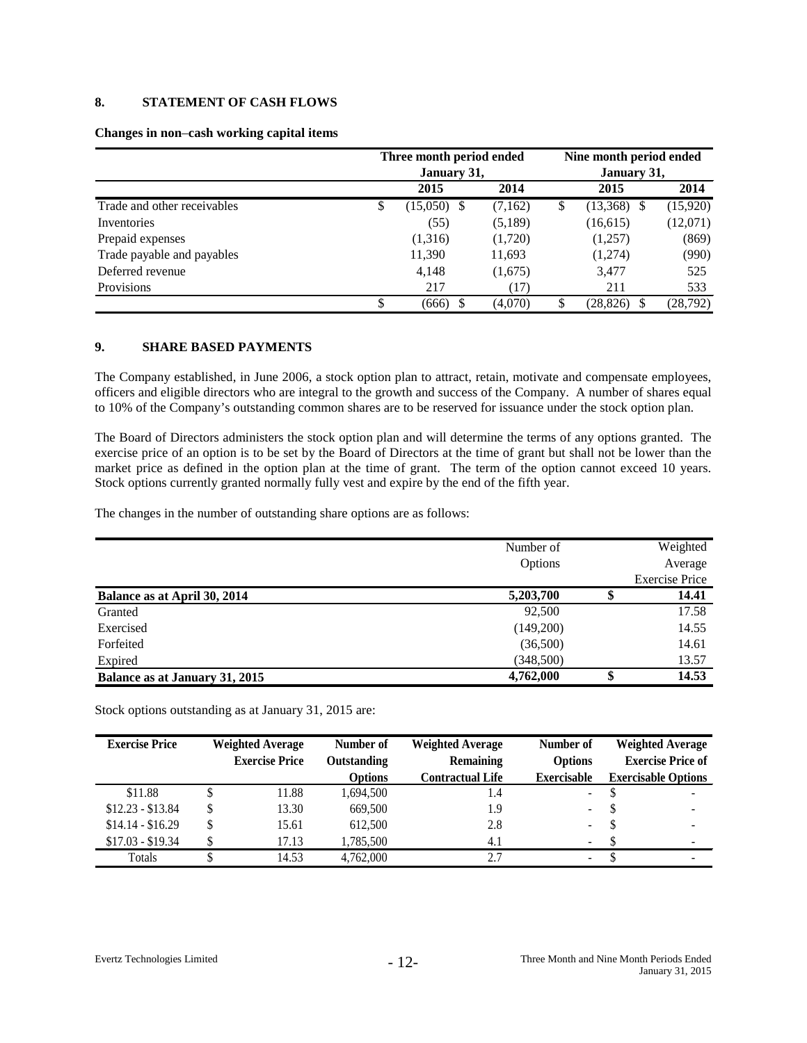# **8. STATEMENT OF CASH FLOWS**

#### **Changes in non**–**cash working capital items**

|                             | Three month period ended |         | Nine month period ended<br>January 31, |           |           |  |  |
|-----------------------------|--------------------------|---------|----------------------------------------|-----------|-----------|--|--|
|                             | January 31,              |         |                                        |           |           |  |  |
|                             | 2015                     | 2014    |                                        | 2015      | 2014      |  |  |
| Trade and other receivables | \$<br>(15,050)           | (7,162) | \$                                     | (13,368)  | (15,920)  |  |  |
| Inventories                 | (55)                     | (5,189) |                                        | (16,615)  | (12,071)  |  |  |
| Prepaid expenses            | (1,316)                  | (1,720) |                                        | (1,257)   | (869)     |  |  |
| Trade payable and payables  | 11,390                   | 11,693  |                                        | (1,274)   | (990)     |  |  |
| Deferred revenue            | 4,148                    | (1,675) |                                        | 3,477     | 525       |  |  |
| Provisions                  | 217                      | (17)    |                                        | 211       | 533       |  |  |
|                             | \$<br>(666)              | (4,070) | S                                      | (28, 826) | (28, 792) |  |  |

# **9. SHARE BASED PAYMENTS**

The Company established, in June 2006, a stock option plan to attract, retain, motivate and compensate employees, officers and eligible directors who are integral to the growth and success of the Company. A number of shares equal to 10% of the Company's outstanding common shares are to be reserved for issuance under the stock option plan.

The Board of Directors administers the stock option plan and will determine the terms of any options granted. The exercise price of an option is to be set by the Board of Directors at the time of grant but shall not be lower than the market price as defined in the option plan at the time of grant. The term of the option cannot exceed 10 years. Stock options currently granted normally fully vest and expire by the end of the fifth year.

The changes in the number of outstanding share options are as follows:

|                                | Number of<br>Options | Weighted<br>Average   |
|--------------------------------|----------------------|-----------------------|
|                                |                      | <b>Exercise Price</b> |
| Balance as at April 30, 2014   | 5,203,700            | 14.41                 |
| Granted                        | 92,500               | 17.58                 |
| Exercised                      | (149,200)            | 14.55                 |
| Forfeited                      | (36,500)             | 14.61                 |
| Expired                        | (348,500)            | 13.57                 |
| Balance as at January 31, 2015 | 4,762,000            | \$<br>14.53           |

Stock options outstanding as at January 31, 2015 are:

| <b>Exercise Price</b> | <b>Weighted Average</b> |       | Number of      | <b>Weighted Average</b> | Number of                | <b>Weighted Average</b>    |                |                          |
|-----------------------|-------------------------|-------|----------------|-------------------------|--------------------------|----------------------------|----------------|--------------------------|
|                       | <b>Exercise Price</b>   |       |                |                         | Outstanding              | <b>Remaining</b>           | <b>Options</b> | <b>Exercise Price of</b> |
|                       |                         |       | <b>Options</b> | <b>Contractual Life</b> | <b>Exercisable</b>       | <b>Exercisable Options</b> |                |                          |
| \$11.88               |                         | 11.88 | 1,694,500      | 1.4                     | $\sim$                   | $\overline{\phantom{a}}$   |                |                          |
| $$12.23 - $13.84$     |                         | 13.30 | 669,500        | 1.9                     |                          | $\overline{\phantom{a}}$   |                |                          |
| $$14.14 - $16.29$     |                         | 15.61 | 612.500        | 2.8                     | $\overline{\phantom{a}}$ | $\overline{\phantom{a}}$   |                |                          |
| $$17.03 - $19.34$     |                         | 17.13 | 1.785.500      | 4.1                     |                          | $\overline{\phantom{a}}$   |                |                          |
| Totals                |                         | 14.53 | 4.762,000      | 2.7                     | ۰.                       | $\overline{\phantom{a}}$   |                |                          |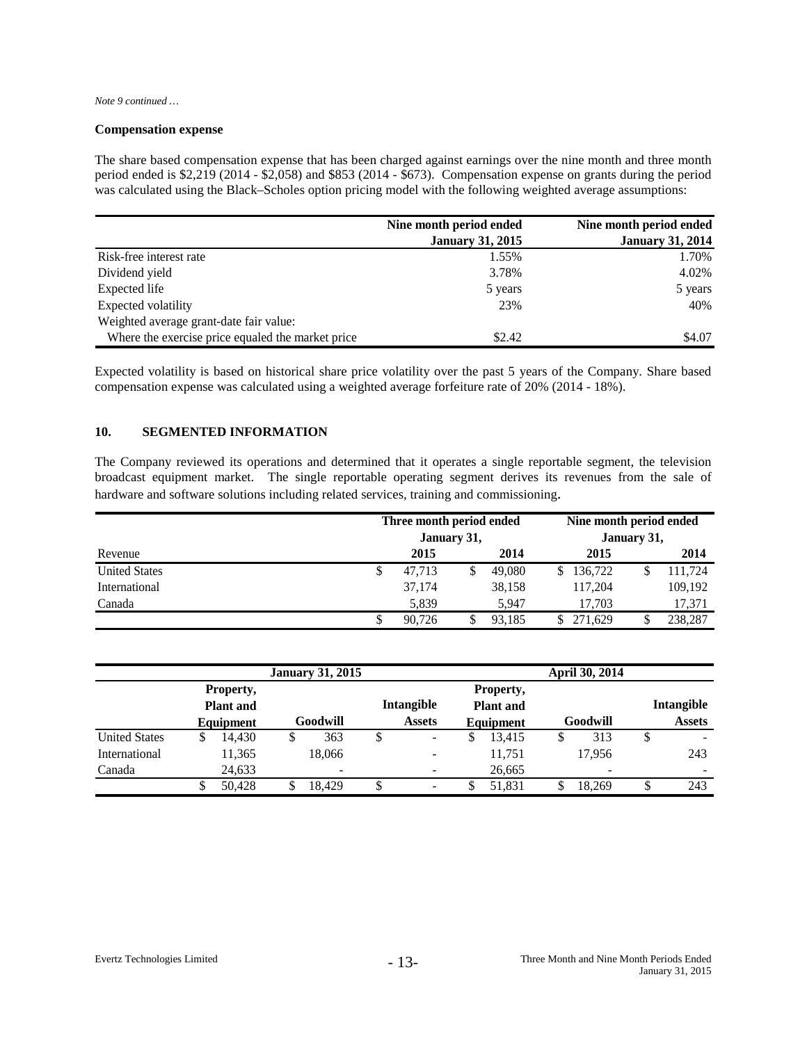*Note 9 continued …*

#### **Compensation expense**

The share based compensation expense that has been charged against earnings over the nine month and three month period ended is \$2,219 (2014 - \$2,058) and \$853 (2014 - \$673). Compensation expense on grants during the period was calculated using the Black–Scholes option pricing model with the following weighted average assumptions:

|                                                   | Nine month period ended | Nine month period ended |
|---------------------------------------------------|-------------------------|-------------------------|
|                                                   | <b>January 31, 2015</b> | <b>January 31, 2014</b> |
| Risk-free interest rate                           | 1.55%                   | 1.70%                   |
| Dividend yield                                    | 3.78%                   | 4.02%                   |
| Expected life                                     | 5 years                 | 5 years                 |
| Expected volatility                               | 23%                     | 40%                     |
| Weighted average grant-date fair value:           |                         |                         |
| Where the exercise price equaled the market price | \$2.42                  | \$4.07                  |

Expected volatility is based on historical share price volatility over the past 5 years of the Company. Share based compensation expense was calculated using a weighted average forfeiture rate of 20% (2014 - 18%).

# **10. SEGMENTED INFORMATION**

The Company reviewed its operations and determined that it operates a single reportable segment, the television broadcast equipment market. The single reportable operating segment derives its revenues from the sale of hardware and software solutions including related services, training and commissioning.

|                      |   | Three month period ended<br>January 31, |  |        |  | Nine month period ended<br>January 31, |  |         |  |
|----------------------|---|-----------------------------------------|--|--------|--|----------------------------------------|--|---------|--|
| Revenue              |   | 2015                                    |  | 2014   |  | 2015                                   |  | 2014    |  |
| <b>United States</b> | S | 47.713                                  |  | 49,080 |  | 136,722                                |  | 111.724 |  |
| International        |   | 37.174                                  |  | 38.158 |  | 117.204                                |  | 109,192 |  |
| Canada               |   | 5.839                                   |  | 5.947  |  | 17.703                                 |  | 17,371  |  |
|                      |   | 90.726                                  |  | 93.185 |  | 271.629                                |  | 238,287 |  |

|                                            | <b>January 31, 2015</b> |          |   |                          |                             |                          |                                            | April 30, 2014 |          |        |                             |     |  |
|--------------------------------------------|-------------------------|----------|---|--------------------------|-----------------------------|--------------------------|--------------------------------------------|----------------|----------|--------|-----------------------------|-----|--|
| Property,<br><b>Plant</b> and<br>Equipment |                         | Goodwill |   |                          | Intangible<br><b>Assets</b> |                          | Property,<br><b>Plant</b> and<br>Equipment |                | Goodwill |        | Intangible<br><b>Assets</b> |     |  |
| <b>United States</b>                       |                         | 14.430   | S | 363                      | S                           | -                        |                                            | 13,415         | S        | 313    |                             |     |  |
| <b>International</b>                       |                         | 11,365   |   | 18.066                   |                             | $\overline{\phantom{a}}$ |                                            | 11,751         |          | 17.956 |                             | 243 |  |
| Canada                                     |                         | 24,633   |   | $\overline{\phantom{a}}$ |                             |                          |                                            | 26,665         |          |        |                             | -   |  |
|                                            |                         | 50.428   |   | 18.429                   | \$                          |                          |                                            | 51.831         |          | 18.269 |                             | 243 |  |